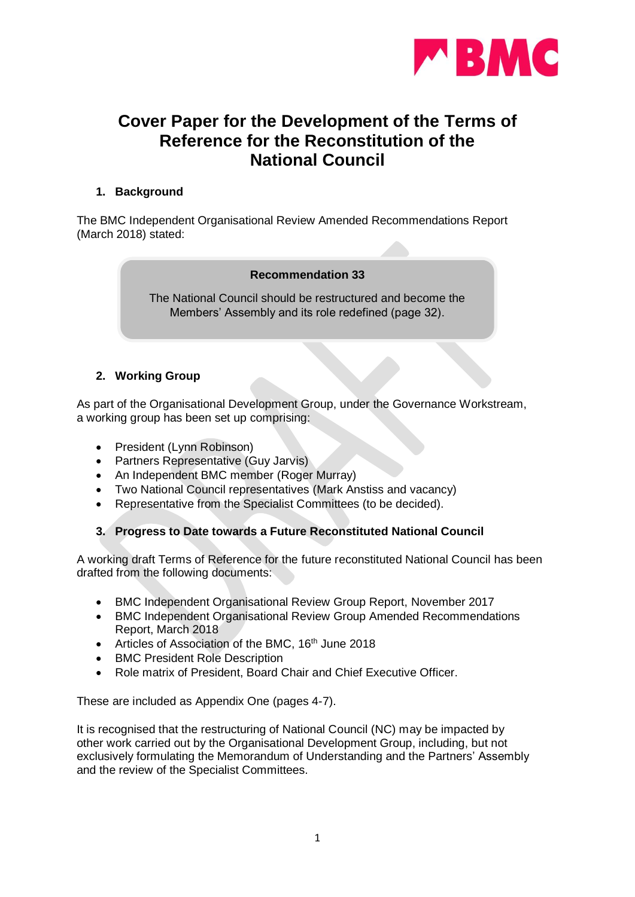

# **Cover Paper for the Development of the Terms of Reference for the Reconstitution of the National Council**

## **1. Background**

The BMC Independent Organisational Review Amended Recommendations Report (March 2018) stated:

#### **Recommendation 33**

The National Council should be restructured and become the Members' Assembly and its role redefined (page 32).

# **2. Working Group**

As part of the Organisational Development Group, under the Governance Workstream, a working group has been set up comprising:

- President (Lynn Robinson)
- Partners Representative (Guy Jarvis)
- An Independent BMC member (Roger Murray)
- Two National Council representatives (Mark Anstiss and vacancy)
- Representative from the Specialist Committees (to be decided).

# **3. Progress to Date towards a Future Reconstituted National Council**

A working draft Terms of Reference for the future reconstituted National Council has been drafted from the following documents:

- BMC Independent Organisational Review Group Report, November 2017
- BMC Independent Organisational Review Group Amended Recommendations Report, March 2018
- Articles of Association of the BMC, 16<sup>th</sup> June 2018
- BMC President Role Description
- Role matrix of President, Board Chair and Chief Executive Officer.

These are included as Appendix One (pages 4-7).

It is recognised that the restructuring of National Council (NC) may be impacted by other work carried out by the Organisational Development Group, including, but not exclusively formulating the Memorandum of Understanding and the Partners' Assembly and the review of the Specialist Committees.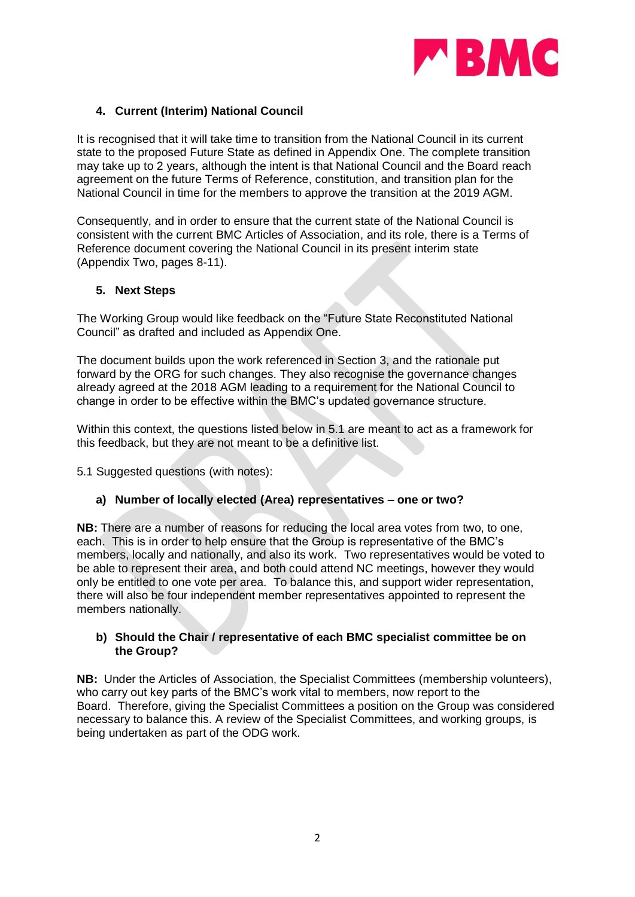

## **4. Current (Interim) National Council**

It is recognised that it will take time to transition from the National Council in its current state to the proposed Future State as defined in Appendix One. The complete transition may take up to 2 years, although the intent is that National Council and the Board reach agreement on the future Terms of Reference, constitution, and transition plan for the National Council in time for the members to approve the transition at the 2019 AGM.

Consequently, and in order to ensure that the current state of the National Council is consistent with the current BMC Articles of Association, and its role, there is a Terms of Reference document covering the National Council in its present interim state (Appendix Two, pages 8-11).

#### **5. Next Steps**

The Working Group would like feedback on the "Future State Reconstituted National Council" as drafted and included as Appendix One.

The document builds upon the work referenced in Section 3, and the rationale put forward by the ORG for such changes. They also recognise the governance changes already agreed at the 2018 AGM leading to a requirement for the National Council to change in order to be effective within the BMC's updated governance structure.

Within this context, the questions listed below in 5.1 are meant to act as a framework for this feedback, but they are not meant to be a definitive list.

5.1 Suggested questions (with notes):

#### **a) Number of locally elected (Area) representatives – one or two?**

**NB:** There are a number of reasons for reducing the local area votes from two, to one, each. This is in order to help ensure that the Group is representative of the BMC's members, locally and nationally, and also its work. Two representatives would be voted to be able to represent their area, and both could attend NC meetings, however they would only be entitled to one vote per area. To balance this, and support wider representation, there will also be four independent member representatives appointed to represent the members nationally.

#### **b) Should the Chair / representative of each BMC specialist committee be on the Group?**

**NB:** Under the Articles of Association, the Specialist Committees (membership volunteers), who carry out key parts of the BMC's work vital to members, now report to the Board. Therefore, giving the Specialist Committees a position on the Group was considered necessary to balance this. A review of the Specialist Committees, and working groups, is being undertaken as part of the ODG work.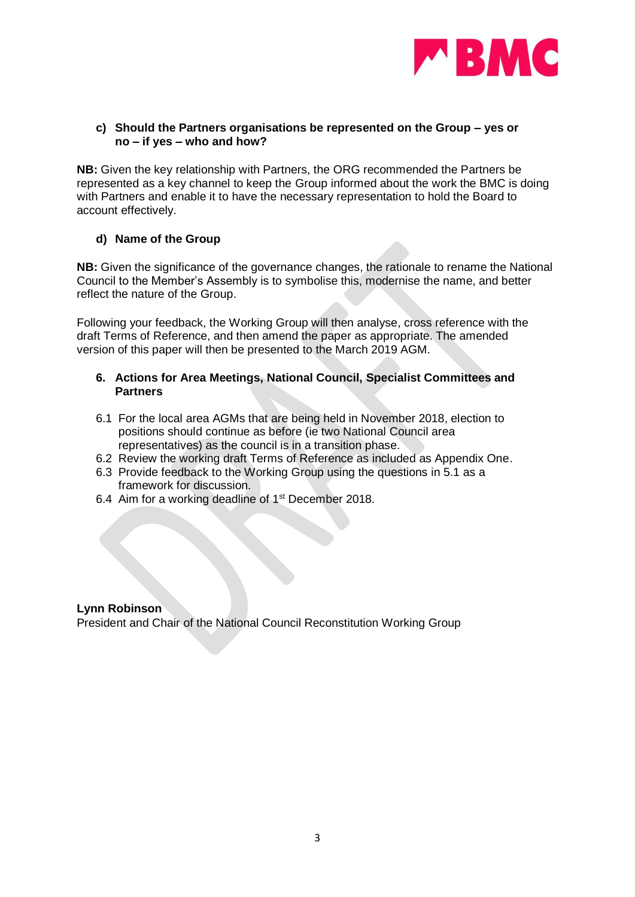

#### **c) Should the Partners organisations be represented on the Group – yes or no – if yes – who and how?**

**NB:** Given the key relationship with Partners, the ORG recommended the Partners be represented as a key channel to keep the Group informed about the work the BMC is doing with Partners and enable it to have the necessary representation to hold the Board to account effectively.

#### **d) Name of the Group**

**NB:** Given the significance of the governance changes, the rationale to rename the National Council to the Member's Assembly is to symbolise this, modernise the name, and better reflect the nature of the Group.

Following your feedback, the Working Group will then analyse, cross reference with the draft Terms of Reference, and then amend the paper as appropriate. The amended version of this paper will then be presented to the March 2019 AGM.

#### **6. Actions for Area Meetings, National Council, Specialist Committees and Partners**

- 6.1 For the local area AGMs that are being held in November 2018, election to positions should continue as before (ie two National Council area representatives) as the council is in a transition phase.
- 6.2 Review the working draft Terms of Reference as included as Appendix One.
- 6.3 Provide feedback to the Working Group using the questions in 5.1 as a framework for discussion.
- 6.4 Aim for a working deadline of 1<sup>st</sup> December 2018.

#### **Lynn Robinson**

President and Chair of the National Council Reconstitution Working Group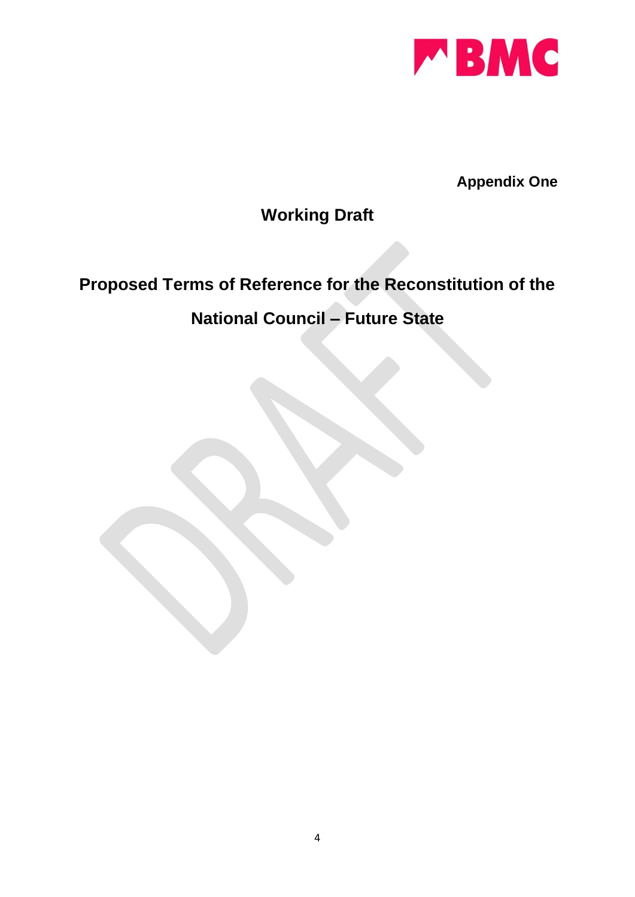

**Appendix One**

# **Working Draft**

# **Proposed Terms of Reference for the Reconstitution of the**

# **National Council – Future State**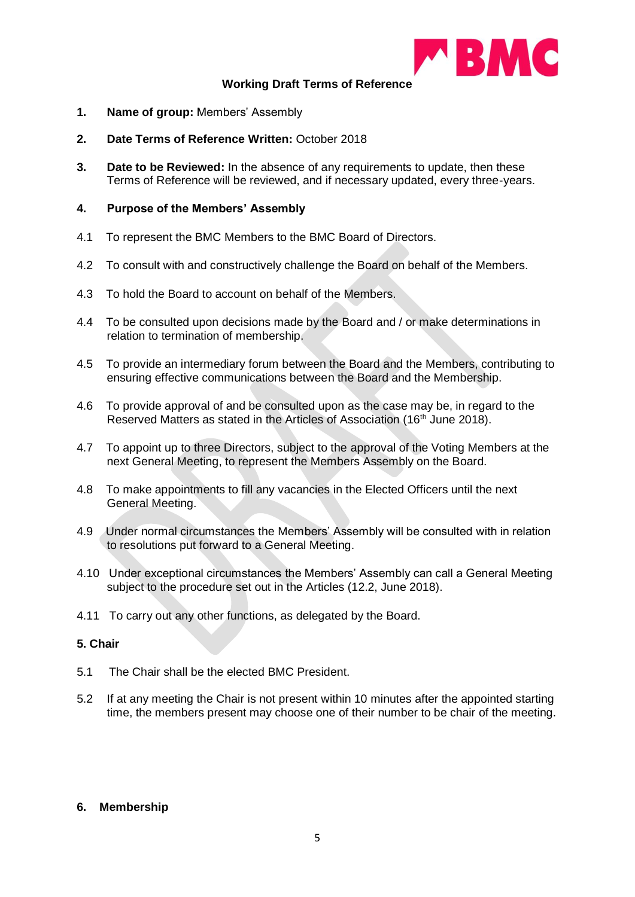

#### **Working Draft Terms of Reference**

- **1. Name of group:** Members' Assembly
- **2. Date Terms of Reference Written:** October 2018
- **3. Date to be Reviewed:** In the absence of any requirements to update, then these Terms of Reference will be reviewed, and if necessary updated, every three-years.

#### **4. Purpose of the Members' Assembly**

- 4.1 To represent the BMC Members to the BMC Board of Directors.
- 4.2 To consult with and constructively challenge the Board on behalf of the Members.
- 4.3 To hold the Board to account on behalf of the Members.
- 4.4 To be consulted upon decisions made by the Board and / or make determinations in relation to termination of membership.
- 4.5 To provide an intermediary forum between the Board and the Members, contributing to ensuring effective communications between the Board and the Membership.
- 4.6 To provide approval of and be consulted upon as the case may be, in regard to the Reserved Matters as stated in the Articles of Association (16<sup>th</sup> June 2018).
- 4.7 To appoint up to three Directors, subject to the approval of the Voting Members at the next General Meeting, to represent the Members Assembly on the Board.
- 4.8 To make appointments to fill any vacancies in the Elected Officers until the next General Meeting.
- 4.9 Under normal circumstances the Members' Assembly will be consulted with in relation to resolutions put forward to a General Meeting.
- 4.10 Under exceptional circumstances the Members' Assembly can call a General Meeting subject to the procedure set out in the Articles (12.2, June 2018).
- 4.11 To carry out any other functions, as delegated by the Board.

#### **5. Chair**

- 5.1 The Chair shall be the elected BMC President.
- 5.2 If at any meeting the Chair is not present within 10 minutes after the appointed starting time, the members present may choose one of their number to be chair of the meeting.

#### **6. Membership**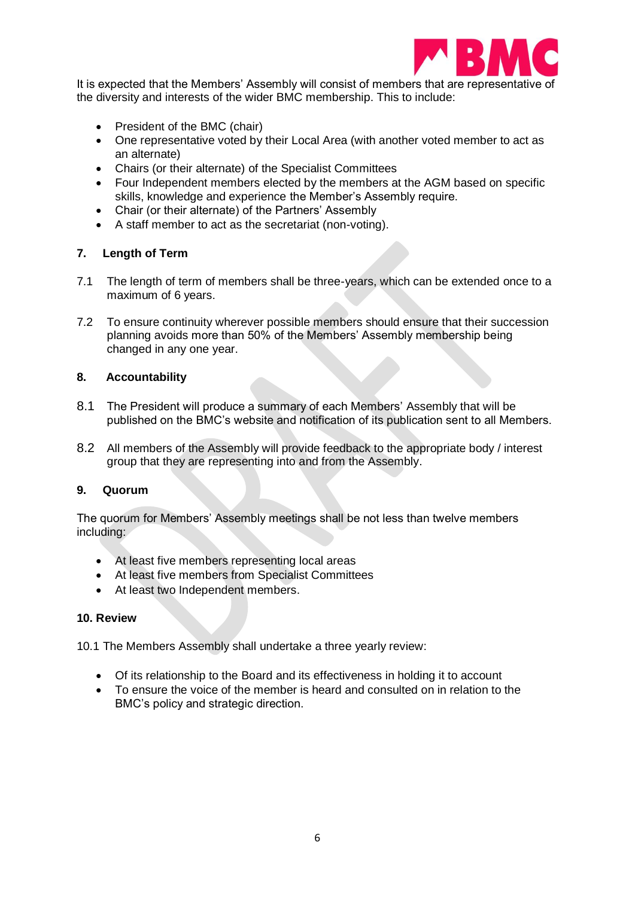

It is expected that the Members' Assembly will consist of members that are representative of the diversity and interests of the wider BMC membership. This to include:

- President of the BMC (chair)
- One representative voted by their Local Area (with another voted member to act as an alternate)
- Chairs (or their alternate) of the Specialist Committees
- Four Independent members elected by the members at the AGM based on specific skills, knowledge and experience the Member's Assembly require.
- Chair (or their alternate) of the Partners' Assembly
- A staff member to act as the secretariat (non-voting).

## **7. Length of Term**

- 7.1 The length of term of members shall be three-years, which can be extended once to a maximum of 6 years.
- 7.2 To ensure continuity wherever possible members should ensure that their succession planning avoids more than 50% of the Members' Assembly membership being changed in any one year.

#### **8. Accountability**

- 8.1 The President will produce a summary of each Members' Assembly that will be published on the BMC's website and notification of its publication sent to all Members.
- 8.2 All members of the Assembly will provide feedback to the appropriate body / interest group that they are representing into and from the Assembly.

#### **9. Quorum**

The quorum for Members' Assembly meetings shall be not less than twelve members including:

- At least five members representing local areas
- At least five members from Specialist Committees
- At least two Independent members.

#### **10. Review**

10.1 The Members Assembly shall undertake a three yearly review:

- Of its relationship to the Board and its effectiveness in holding it to account
- To ensure the voice of the member is heard and consulted on in relation to the BMC's policy and strategic direction.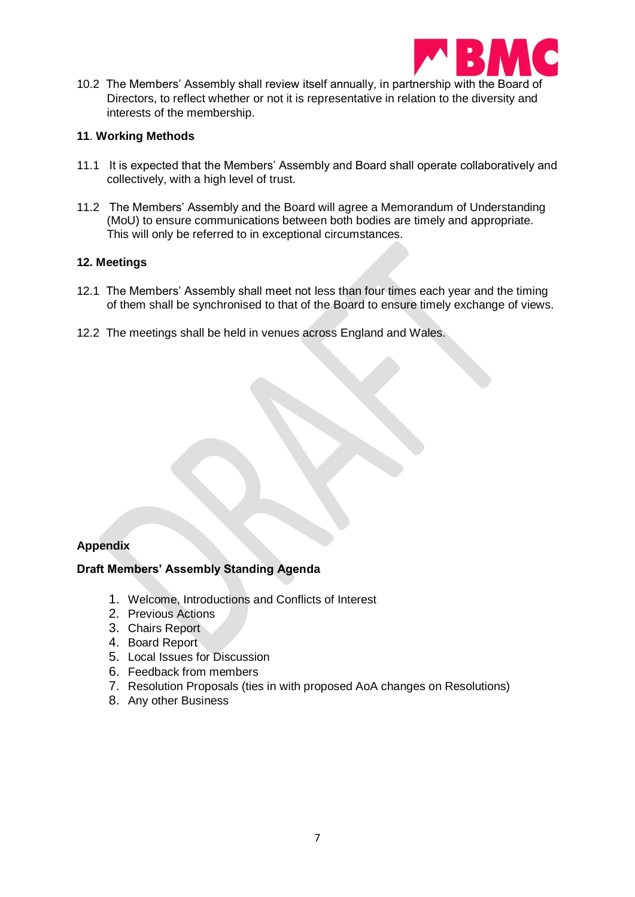

10.2 The Members' Assembly shall review itself annually, in partnership with the Board of Directors, to reflect whether or not it is representative in relation to the diversity and interests of the membership.

#### **11**. **Working Methods**

- 11.1 It is expected that the Members' Assembly and Board shall operate collaboratively and collectively, with a high level of trust.
- 11.2 The Members' Assembly and the Board will agree a Memorandum of Understanding (MoU) to ensure communications between both bodies are timely and appropriate. This will only be referred to in exceptional circumstances*.*

#### **12. Meetings**

- 12.1 The Members' Assembly shall meet not less than four times each year and the timing of them shall be synchronised to that of the Board to ensure timely exchange of views.
- 12.2 The meetings shall be held in venues across England and Wales.

#### **Appendix**

#### **Draft Members' Assembly Standing Agenda**

- 1. Welcome, Introductions and Conflicts of Interest
- 2. Previous Actions
- 3. Chairs Report
- 4. Board Report
- 5. Local Issues for Discussion
- 6. Feedback from members
- 7. Resolution Proposals (ties in with proposed AoA changes on Resolutions)
- 8. Any other Business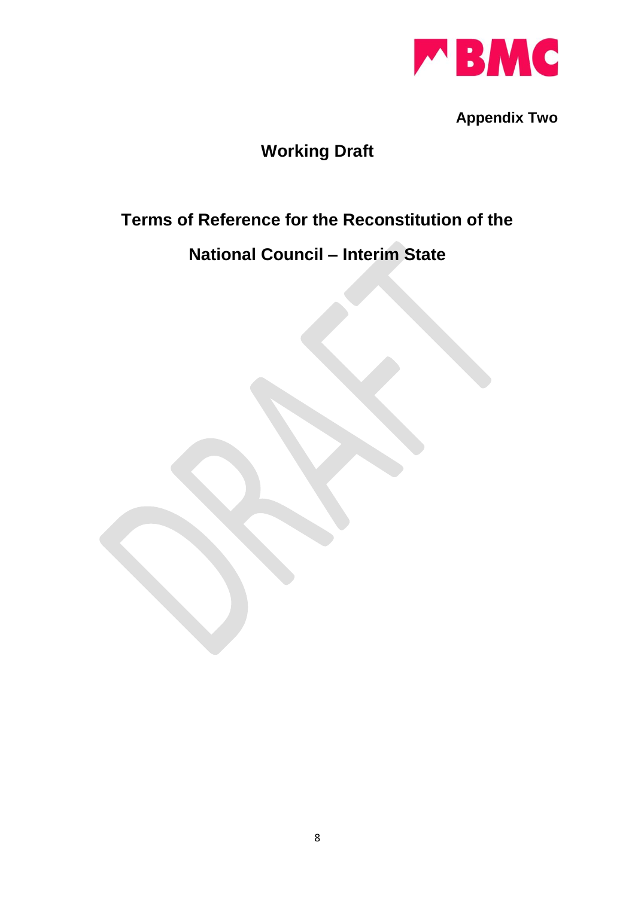

**Appendix Two**

# **Working Draft**

# **Terms of Reference for the Reconstitution of the**

# **National Council – Interim State**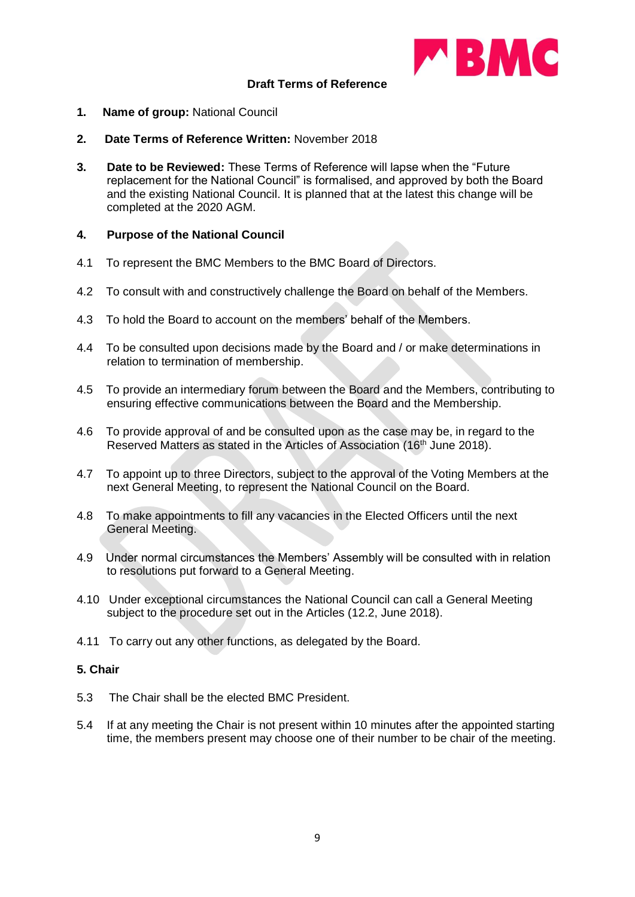

#### **Draft Terms of Reference**

- **1. Name of group:** National Council
- **2. Date Terms of Reference Written:** November 2018
- **3. Date to be Reviewed:** These Terms of Reference will lapse when the "Future replacement for the National Council" is formalised, and approved by both the Board and the existing National Council. It is planned that at the latest this change will be completed at the 2020 AGM.

#### **4. Purpose of the National Council**

- 4.1 To represent the BMC Members to the BMC Board of Directors.
- 4.2 To consult with and constructively challenge the Board on behalf of the Members.
- 4.3 To hold the Board to account on the members' behalf of the Members.
- 4.4 To be consulted upon decisions made by the Board and / or make determinations in relation to termination of membership.
- 4.5 To provide an intermediary forum between the Board and the Members, contributing to ensuring effective communications between the Board and the Membership.
- 4.6 To provide approval of and be consulted upon as the case may be, in regard to the Reserved Matters as stated in the Articles of Association (16<sup>th</sup> June 2018).
- 4.7 To appoint up to three Directors, subject to the approval of the Voting Members at the next General Meeting, to represent the National Council on the Board.
- 4.8 To make appointments to fill any vacancies in the Elected Officers until the next General Meeting.
- 4.9 Under normal circumstances the Members' Assembly will be consulted with in relation to resolutions put forward to a General Meeting.
- 4.10 Under exceptional circumstances the National Council can call a General Meeting subject to the procedure set out in the Articles (12.2, June 2018).
- 4.11 To carry out any other functions, as delegated by the Board.

#### **5. Chair**

- 5.3 The Chair shall be the elected BMC President.
- 5.4 If at any meeting the Chair is not present within 10 minutes after the appointed starting time, the members present may choose one of their number to be chair of the meeting.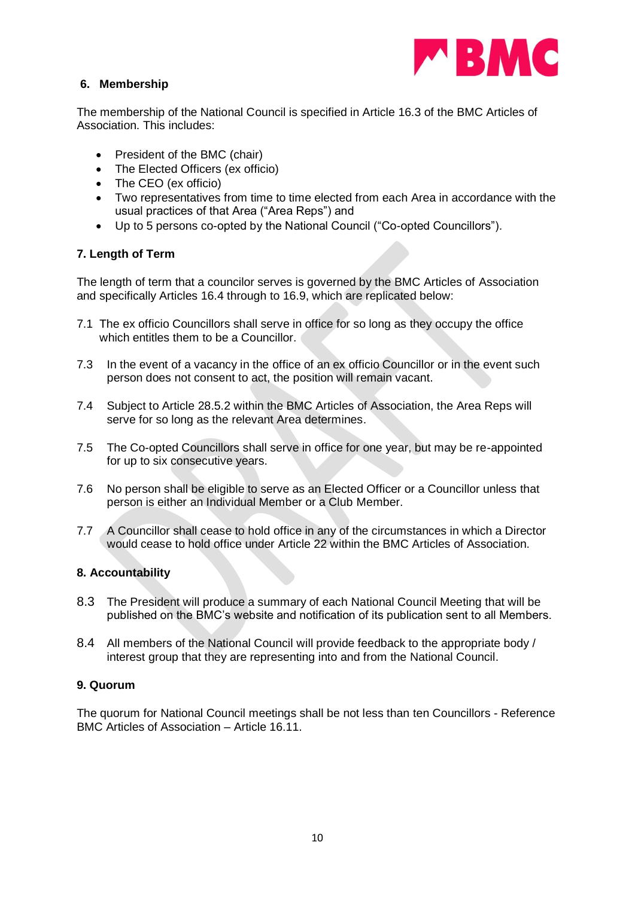

## **6. Membership**

The membership of the National Council is specified in Article 16.3 of the BMC Articles of Association. This includes:

- President of the BMC (chair)
- The Elected Officers (ex officio)
- The CEO (ex officio)
- Two representatives from time to time elected from each Area in accordance with the usual practices of that Area ("Area Reps") and
- Up to 5 persons co-opted by the National Council ("Co-opted Councillors").

## **7. Length of Term**

The length of term that a councilor serves is governed by the BMC Articles of Association and specifically Articles 16.4 through to 16.9, which are replicated below:

- 7.1 The ex officio Councillors shall serve in office for so long as they occupy the office which entitles them to be a Councillor.
- 7.3 In the event of a vacancy in the office of an ex officio Councillor or in the event such person does not consent to act, the position will remain vacant.
- 7.4 Subject to Article 28.5.2 within the BMC Articles of Association, the Area Reps will serve for so long as the relevant Area determines.
- 7.5 The Co-opted Councillors shall serve in office for one year, but may be re-appointed for up to six consecutive years.
- 7.6 No person shall be eligible to serve as an Elected Officer or a Councillor unless that person is either an Individual Member or a Club Member.
- 7.7 A Councillor shall cease to hold office in any of the circumstances in which a Director would cease to hold office under Article 22 within the BMC Articles of Association.

#### **8. Accountability**

- 8.3 The President will produce a summary of each National Council Meeting that will be published on the BMC's website and notification of its publication sent to all Members.
- 8.4 All members of the National Council will provide feedback to the appropriate body / interest group that they are representing into and from the National Council.

#### **9. Quorum**

The quorum for National Council meetings shall be not less than ten Councillors - Reference BMC Articles of Association – Article 16.11.